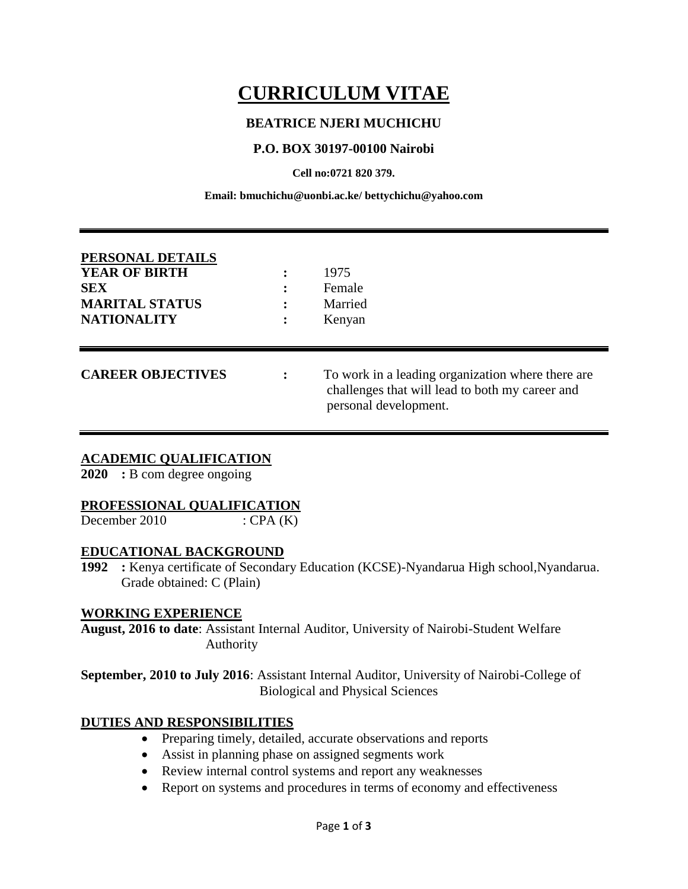# **CURRICULUM VITAE**

# **BEATRICE NJERI MUCHICHU**

# **P.O. BOX 30197-00100 Nairobi**

**Cell no:0721 820 379.**

**Email: bmuchichu@uonbi.ac.ke/ bettychichu@yahoo.com**

| PERSONAL DETAILS<br><b>YEAR OF BIRTH</b><br><b>SEX</b><br><b>MARITAL STATUS</b><br><b>NATIONALITY</b> |   | 1975<br>Female<br>Married<br>Kenyan                                                                                           |
|-------------------------------------------------------------------------------------------------------|---|-------------------------------------------------------------------------------------------------------------------------------|
| <b>CAREER OBJECTIVES</b>                                                                              | ٠ | To work in a leading organization where there are<br>challenges that will lead to both my career and<br>personal development. |

#### **ACADEMIC QUALIFICATION**

**2020 :** B com degree ongoing

#### **PROFESSIONAL QUALIFICATION**

December 2010 :  $CPA (K)$ 

#### **EDUCATIONAL BACKGROUND**

**1992 :** Kenya certificate of Secondary Education (KCSE)-Nyandarua High school,Nyandarua. Grade obtained: C (Plain)

#### **WORKING EXPERIENCE**

**August, 2016 to date**: Assistant Internal Auditor, University of Nairobi-Student Welfare Authority

**September, 2010 to July 2016**: Assistant Internal Auditor, University of Nairobi-College of Biological and Physical Sciences

# **DUTIES AND RESPONSIBILITIES**

- Preparing timely, detailed, accurate observations and reports
- Assist in planning phase on assigned segments work
- Review internal control systems and report any weaknesses
- Report on systems and procedures in terms of economy and effectiveness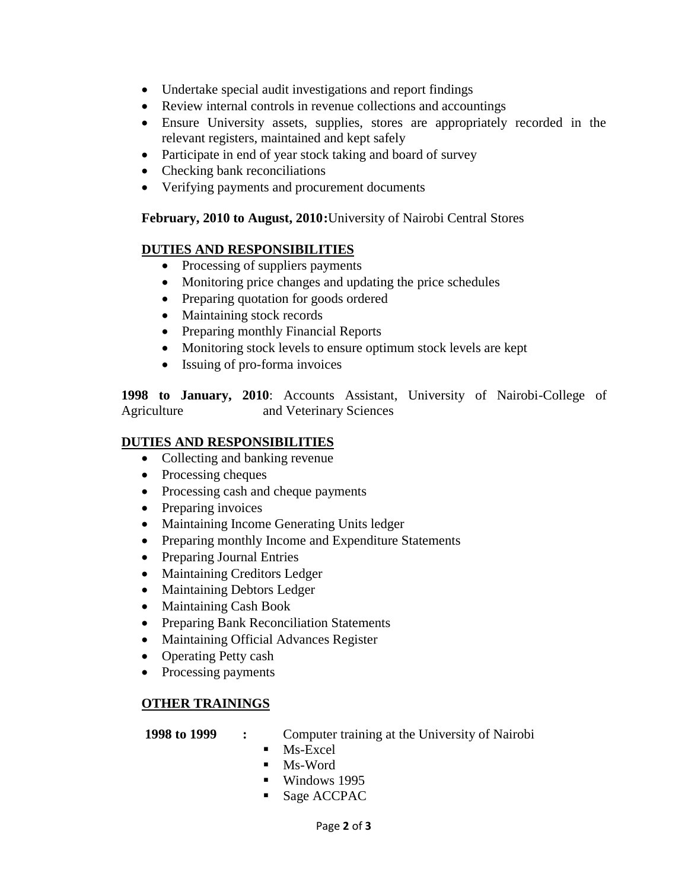- Undertake special audit investigations and report findings
- Review internal controls in revenue collections and accountings
- Ensure University assets, supplies, stores are appropriately recorded in the relevant registers, maintained and kept safely
- Participate in end of year stock taking and board of survey
- Checking bank reconciliations
- Verifying payments and procurement documents

# **February, 2010 to August, 2010:**University of Nairobi Central Stores

# **DUTIES AND RESPONSIBILITIES**

- Processing of suppliers payments
- Monitoring price changes and updating the price schedules
- Preparing quotation for goods ordered
- Maintaining stock records
- Preparing monthly Financial Reports
- Monitoring stock levels to ensure optimum stock levels are kept
- Issuing of pro-forma invoices

**1998 to January, 2010**: Accounts Assistant, University of Nairobi-College of Agriculture and Veterinary Sciences

#### **DUTIES AND RESPONSIBILITIES**

- Collecting and banking revenue
- Processing cheques
- Processing cash and cheque payments
- Preparing invoices
- Maintaining Income Generating Units ledger
- Preparing monthly Income and Expenditure Statements
- Preparing Journal Entries
- Maintaining Creditors Ledger
- Maintaining Debtors Ledger
- Maintaining Cash Book
- Preparing Bank Reconciliation Statements
- Maintaining Official Advances Register
- Operating Petty cash
- Processing payments

# **OTHER TRAININGS**

 **1998 to 1999 :** Computer training at the University of Nairobi

- $Ms$ -Excel
- $\blacksquare$  Ms-Word
- **Windows 1995**
- Sage ACCPAC